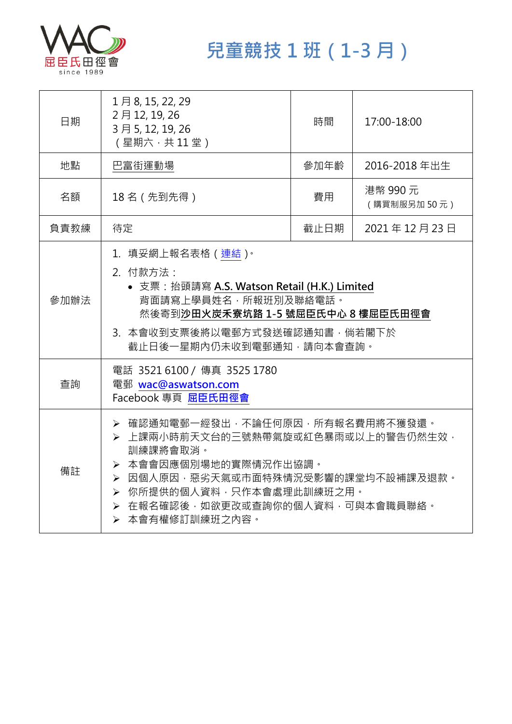

**兒童競技 1 班(1-3 月)**

| 日期   | 1月8, 15, 22, 29<br>2月12, 19, 26<br>3月5, 12, 19, 26<br>(星期六,共11堂)                                                                                                                                                                      | 時間   | 17:00-18:00            |
|------|---------------------------------------------------------------------------------------------------------------------------------------------------------------------------------------------------------------------------------------|------|------------------------|
| 地點   | 巴富街運動場                                                                                                                                                                                                                                | 參加年齡 | 2016-2018年出生           |
| 名額   | 18名 (先到先得)                                                                                                                                                                                                                            | 費用   | 港幣 990元<br>(購買制服另加50元) |
| 負責教練 | 待定                                                                                                                                                                                                                                    | 截止日期 | 2021年12月23日            |
| 參加辦法 | 1. 填妥網上報名表格 (連結)。<br>2. 付款方法:<br>• 支票: 抬頭請寫 A.S. Watson Retail (H.K.) Limited<br>背面請寫上學員姓名,所報班別及聯絡電話。<br>然後寄到沙田火炭禾寮坑路 1-5 號屈臣氏中心 8 樓屈臣氏田徑會<br>3. 本會收到支票後將以電郵方式發送確認通知書,倘若閣下於<br>截止日後一星期內仍未收到電郵通知,請向本會查詢。                               |      |                        |
| 查詢   | 電話 3521 6100 / 傳真 3525 1780<br>電郵 wac@aswatson.com<br>Facebook 專頁 屈臣氏田徑會                                                                                                                                                              |      |                        |
| 備註   | ▶ 確認通知電郵一經發出,不論任何原因,所有報名費用將不獲發還。<br>> 上課兩小時前天文台的三號熱帶氣旋或紅色暴雨或以上的警告仍然生效,<br>訓練課將會取消。<br>▶ 本會會因應個別場地的實際情況作出協調。<br>▶ 因個人原因,惡劣天氣或市面特殊情況受影響的課堂均不設補課及退款。<br>▶ 你所提供的個人資料,只作本會處理此訓練班之用。<br>> 在報名確認後,如欲更改或查詢你的個人資料,可與本會職員聯絡。<br>▶ 本會有權修訂訓練班之內容。 |      |                        |